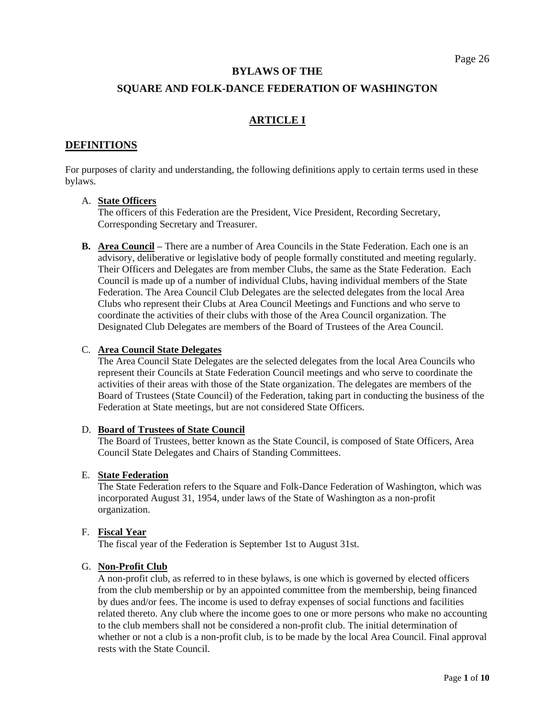#### **BYLAWS OF THE**

#### **SQUARE AND FOLK-DANCE FEDERATION OF WASHINGTON**

### **ARTICLE I**

#### **DEFINITIONS**

For purposes of clarity and understanding, the following definitions apply to certain terms used in these bylaws.

#### A. **State Officers**

The officers of this Federation are the President, Vice President, Recording Secretary, Corresponding Secretary and Treasurer.

**B. Area Council –** There are a number of Area Councils in the State Federation. Each one is an advisory, deliberative or legislative body of people formally constituted and meeting regularly. Their Officers and Delegates are from member Clubs, the same as the State Federation. Each Council is made up of a number of individual Clubs, having individual members of the State Federation. The Area Council Club Delegates are the selected delegates from the local Area Clubs who represent their Clubs at Area Council Meetings and Functions and who serve to coordinate the activities of their clubs with those of the Area Council organization. The Designated Club Delegates are members of the Board of Trustees of the Area Council.

#### C. **Area Council State Delegates**

The Area Council State Delegates are the selected delegates from the local Area Councils who represent their Councils at State Federation Council meetings and who serve to coordinate the activities of their areas with those of the State organization. The delegates are members of the Board of Trustees (State Council) of the Federation, taking part in conducting the business of the Federation at State meetings, but are not considered State Officers.

#### D. **Board of Trustees of State Council**

The Board of Trustees, better known as the State Council, is composed of State Officers, Area Council State Delegates and Chairs of Standing Committees.

#### E. **State Federation**

The State Federation refers to the Square and Folk-Dance Federation of Washington, which was incorporated August 31, 1954, under laws of the State of Washington as a non-profit organization.

#### F. **Fiscal Year**

The fiscal year of the Federation is September 1st to August 31st.

#### G. **Non-Profit Club**

A non-profit club, as referred to in these bylaws, is one which is governed by elected officers from the club membership or by an appointed committee from the membership, being financed by dues and/or fees. The income is used to defray expenses of social functions and facilities related thereto. Any club where the income goes to one or more persons who make no accounting to the club members shall not be considered a non-profit club. The initial determination of whether or not a club is a non-profit club, is to be made by the local Area Council. Final approval rests with the State Council.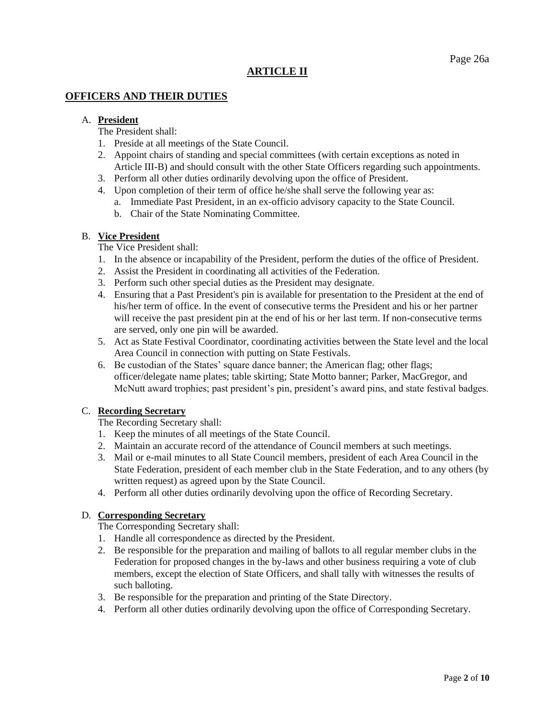# **ARTICLE II**

# **OFFICERS AND THEIR DUTIES**

### A. **President**

- The President shall:
- 1. Preside at all meetings of the State Council.
- 2. Appoint chairs of standing and special committees (with certain exceptions as noted in Article III-B) and should consult with the other State Officers regarding such appointments.
- 3. Perform all other duties ordinarily devolving upon the office of President.
- 4. Upon completion of their term of office he/she shall serve the following year as: a. Immediate Past President, in an ex-officio advisory capacity to the State Council.
	- b. Chair of the State Nominating Committee.

#### B. **Vice President**

The Vice President shall:

- 1. In the absence or incapability of the President, perform the duties of the office of President.
- 2. Assist the President in coordinating all activities of the Federation.
- 3. Perform such other special duties as the President may designate.
- 4. Ensuring that a Past President's pin is available for presentation to the President at the end of his/her term of office. In the event of consecutive terms the President and his or her partner will receive the past president pin at the end of his or her last term. If non-consecutive terms are served, only one pin will be awarded.
- 5. Act as State Festival Coordinator, coordinating activities between the State level and the local Area Council in connection with putting on State Festivals.
- 6. Be custodian of the States' square dance banner; the American flag; other flags; officer/delegate name plates; table skirting; State Motto banner; Parker, MacGregor, and McNutt award trophies; past president's pin, president's award pins, and state festival badges.

#### C. **Recording Secretary**

The Recording Secretary shall:

- 1. Keep the minutes of all meetings of the State Council.
- 2. Maintain an accurate record of the attendance of Council members at such meetings.
- 3. Mail or e-mail minutes to all State Council members, president of each Area Council in the State Federation, president of each member club in the State Federation, and to any others (by written request) as agreed upon by the State Council.
- 4. Perform all other duties ordinarily devolving upon the office of Recording Secretary.

### D. **Corresponding Secretary**

The Corresponding Secretary shall:

- 1. Handle all correspondence as directed by the President.
- 2. Be responsible for the preparation and mailing of ballots to all regular member clubs in the Federation for proposed changes in the by-laws and other business requiring a vote of club members, except the election of State Officers, and shall tally with witnesses the results of such balloting.
- 3. Be responsible for the preparation and printing of the State Directory.
- 4. Perform all other duties ordinarily devolving upon the office of Corresponding Secretary.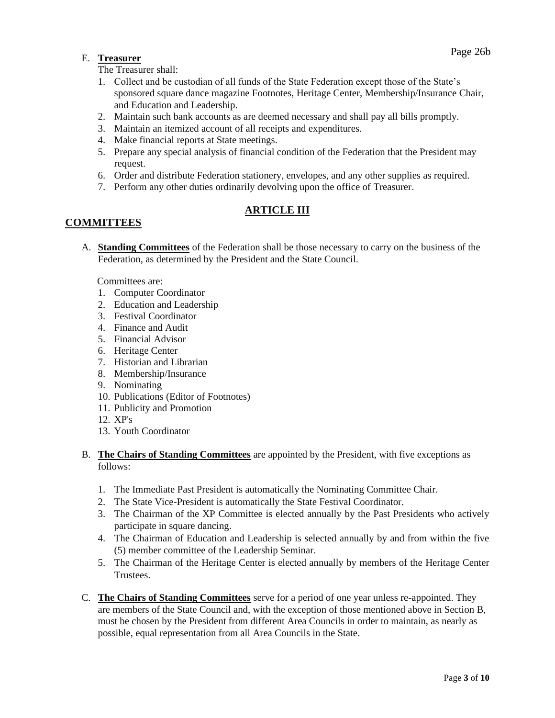# Page 26b E. **Treasurer**

The Treasurer shall:

- 1. Collect and be custodian of all funds of the State Federation except those of the State's sponsored square dance magazine Footnotes, Heritage Center, Membership/Insurance Chair, and Education and Leadership.
- 2. Maintain such bank accounts as are deemed necessary and shall pay all bills promptly.
- 3. Maintain an itemized account of all receipts and expenditures.
- 4. Make financial reports at State meetings.
- 5. Prepare any special analysis of financial condition of the Federation that the President may request.
- 6. Order and distribute Federation stationery, envelopes, and any other supplies as required.
- 7. Perform any other duties ordinarily devolving upon the office of Treasurer.

# **ARTICLE III**

# **COMMITTEES**

A. **Standing Committees** of the Federation shall be those necessary to carry on the business of the Federation, as determined by the President and the State Council.

Committees are:

- 1. Computer Coordinator
- 2. Education and Leadership
- 3. Festival Coordinator
- 4. Finance and Audit
- 5. Financial Advisor
- 6. Heritage Center
- 7. Historian and Librarian
- 8. Membership/Insurance
- 9. Nominating
- 10. Publications (Editor of Footnotes)
- 11. Publicity and Promotion
- 12. XP's
- 13. Youth Coordinator
- B. **The Chairs of Standing Committees** are appointed by the President, with five exceptions as follows:
	- 1. The Immediate Past President is automatically the Nominating Committee Chair.
	- 2. The State Vice-President is automatically the State Festival Coordinator.
	- 3. The Chairman of the XP Committee is elected annually by the Past Presidents who actively participate in square dancing.
	- 4. The Chairman of Education and Leadership is selected annually by and from within the five (5) member committee of the Leadership Seminar.
	- 5. The Chairman of the Heritage Center is elected annually by members of the Heritage Center Trustees.
- C. **The Chairs of Standing Committees** serve for a period of one year unless re-appointed. They are members of the State Council and, with the exception of those mentioned above in Section B, must be chosen by the President from different Area Councils in order to maintain, as nearly as possible, equal representation from all Area Councils in the State.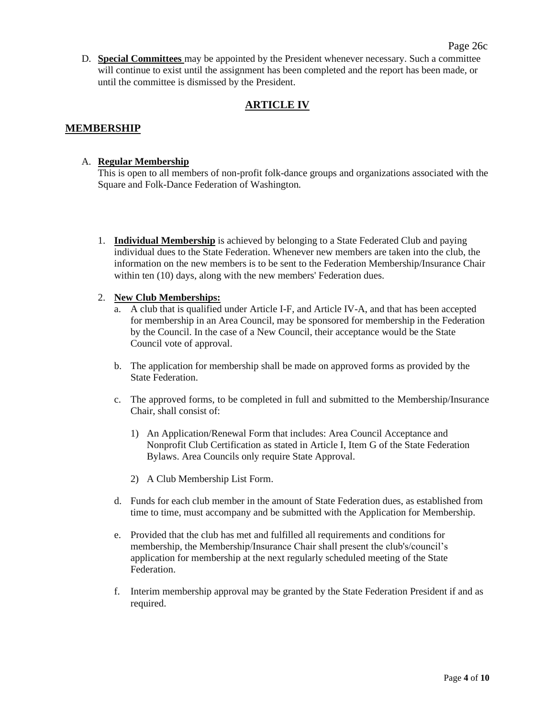D. **Special Committees** may be appointed by the President whenever necessary. Such a committee will continue to exist until the assignment has been completed and the report has been made, or until the committee is dismissed by the President.

# **ARTICLE IV**

### **MEMBERSHIP**

#### A. **Regular Membership**

This is open to all members of non-profit folk-dance groups and organizations associated with the Square and Folk-Dance Federation of Washington.

1. **Individual Membership** is achieved by belonging to a State Federated Club and paying individual dues to the State Federation. Whenever new members are taken into the club, the information on the new members is to be sent to the Federation Membership/Insurance Chair within ten (10) days, along with the new members' Federation dues.

#### 2. **New Club Memberships:**

- a. A club that is qualified under Article I-F, and Article IV-A, and that has been accepted for membership in an Area Council, may be sponsored for membership in the Federation by the Council. In the case of a New Council, their acceptance would be the State Council vote of approval.
- b. The application for membership shall be made on approved forms as provided by the State Federation.
- c. The approved forms, to be completed in full and submitted to the Membership/Insurance Chair, shall consist of:
	- 1) An Application/Renewal Form that includes: Area Council Acceptance and Nonprofit Club Certification as stated in Article I, Item G of the State Federation Bylaws. Area Councils only require State Approval.
	- 2) A Club Membership List Form.
- d. Funds for each club member in the amount of State Federation dues, as established from time to time, must accompany and be submitted with the Application for Membership.
- e. Provided that the club has met and fulfilled all requirements and conditions for membership, the Membership/Insurance Chair shall present the club's/council's application for membership at the next regularly scheduled meeting of the State Federation.
- f. Interim membership approval may be granted by the State Federation President if and as required.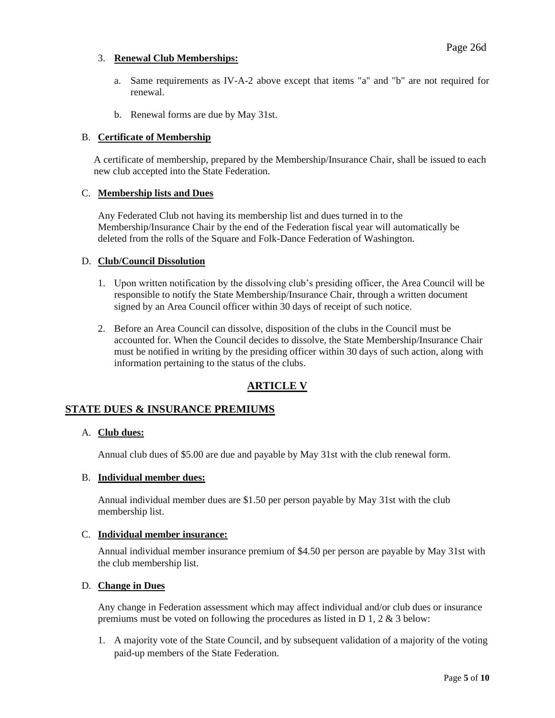#### 3. **Renewal Club Memberships:**

- a. Same requirements as IV-A-2 above except that items "a" and "b" are not required for renewal.
- b. Renewal forms are due by May 31st.

#### B. **Certificate of Membership**

A certificate of membership, prepared by the Membership/Insurance Chair, shall be issued to each new club accepted into the State Federation.

#### C. **Membership lists and Dues**

Any Federated Club not having its membership list and dues turned in to the Membership/Insurance Chair by the end of the Federation fiscal year will automatically be deleted from the rolls of the Square and Folk-Dance Federation of Washington.

#### D. **Club/Council Dissolution**

- 1. Upon written notification by the dissolving club's presiding officer, the Area Council will be responsible to notify the State Membership/Insurance Chair, through a written document signed by an Area Council officer within 30 days of receipt of such notice.
- 2. Before an Area Council can dissolve, disposition of the clubs in the Council must be accounted for. When the Council decides to dissolve, the State Membership/Insurance Chair must be notified in writing by the presiding officer within 30 days of such action, along with information pertaining to the status of the clubs.

# **ARTICLE V**

# **STATE DUES & INSURANCE PREMIUMS**

#### A. **Club dues:**

Annual club dues of \$5.00 are due and payable by May 31st with the club renewal form.

#### B. **Individual member dues:**

Annual individual member dues are \$1.50 per person payable by May 31st with the club membership list.

#### C. **Individual member insurance:**

Annual individual member insurance premium of \$4.50 per person are payable by May 31st with the club membership list.

#### D. **Change in Dues**

Any change in Federation assessment which may affect individual and/or club dues or insurance premiums must be voted on following the procedures as listed in D 1, 2 & 3 below:

1. A majority vote of the State Council, and by subsequent validation of a majority of the voting paid-up members of the State Federation.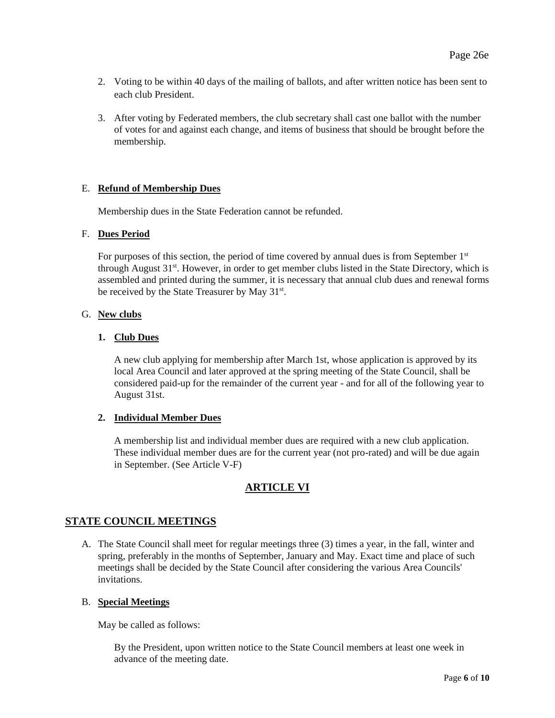- 2. Voting to be within 40 days of the mailing of ballots, and after written notice has been sent to each club President.
- 3. After voting by Federated members, the club secretary shall cast one ballot with the number of votes for and against each change, and items of business that should be brought before the membership.

#### E. **Refund of Membership Dues**

Membership dues in the State Federation cannot be refunded.

#### F. **Dues Period**

For purposes of this section, the period of time covered by annual dues is from September  $1<sup>st</sup>$ through August  $31<sup>st</sup>$ . However, in order to get member clubs listed in the State Directory, which is assembled and printed during the summer, it is necessary that annual club dues and renewal forms be received by the State Treasurer by May 31<sup>st</sup>.

#### G. **New clubs**

#### **1. Club Dues**

A new club applying for membership after March 1st, whose application is approved by its local Area Council and later approved at the spring meeting of the State Council, shall be considered paid-up for the remainder of the current year - and for all of the following year to August 31st.

#### **2. Individual Member Dues**

A membership list and individual member dues are required with a new club application. These individual member dues are for the current year (not pro-rated) and will be due again in September. (See Article V-F)

# **ARTICLE VI**

### **STATE COUNCIL MEETINGS**

A. The State Council shall meet for regular meetings three (3) times a year, in the fall, winter and spring, preferably in the months of September, January and May. Exact time and place of such meetings shall be decided by the State Council after considering the various Area Councils' invitations.

#### B. **Special Meetings**

May be called as follows:

By the President, upon written notice to the State Council members at least one week in advance of the meeting date.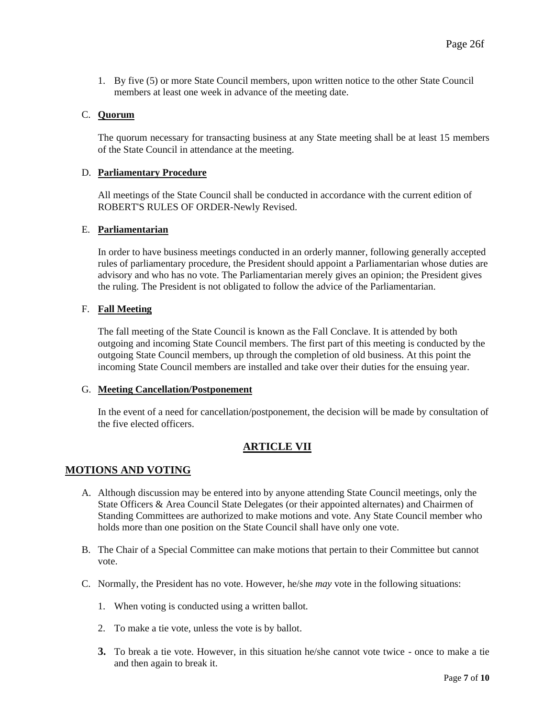1. By five (5) or more State Council members, upon written notice to the other State Council members at least one week in advance of the meeting date.

#### C. **Quorum**

The quorum necessary for transacting business at any State meeting shall be at least 15 members of the State Council in attendance at the meeting.

#### D. **Parliamentary Procedure**

All meetings of the State Council shall be conducted in accordance with the current edition of ROBERT'S RULES OF ORDER-Newly Revised.

#### E. **Parliamentarian**

In order to have business meetings conducted in an orderly manner, following generally accepted rules of parliamentary procedure, the President should appoint a Parliamentarian whose duties are advisory and who has no vote. The Parliamentarian merely gives an opinion; the President gives the ruling. The President is not obligated to follow the advice of the Parliamentarian.

#### F. **Fall Meeting**

The fall meeting of the State Council is known as the Fall Conclave. It is attended by both outgoing and incoming State Council members. The first part of this meeting is conducted by the outgoing State Council members, up through the completion of old business. At this point the incoming State Council members are installed and take over their duties for the ensuing year.

#### G. **Meeting Cancellation/Postponement**

In the event of a need for cancellation/postponement, the decision will be made by consultation of the five elected officers.

### **ARTICLE VII**

#### **MOTIONS AND VOTING**

- A. Although discussion may be entered into by anyone attending State Council meetings, only the State Officers & Area Council State Delegates (or their appointed alternates) and Chairmen of Standing Committees are authorized to make motions and vote. Any State Council member who holds more than one position on the State Council shall have only one vote.
- B. The Chair of a Special Committee can make motions that pertain to their Committee but cannot vote.
- C. Normally, the President has no vote. However, he/she *may* vote in the following situations:
	- 1. When voting is conducted using a written ballot.
	- 2. To make a tie vote, unless the vote is by ballot.
	- **3.** To break a tie vote. However, in this situation he/she cannot vote twice once to make a tie and then again to break it.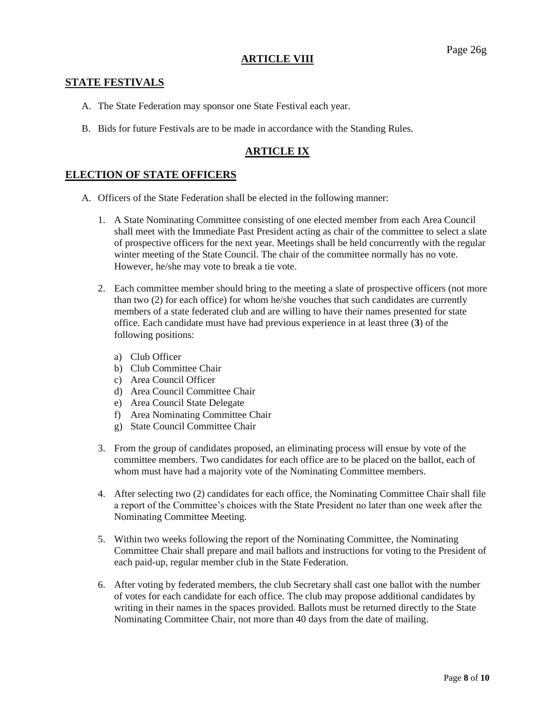### **ARTICLE VIII**

### **STATE FESTIVALS**

- A. The State Federation may sponsor one State Festival each year.
- B. Bids for future Festivals are to be made in accordance with the Standing Rules.

# **ARTICLE IX**

# **ELECTION OF STATE OFFICERS**

- A. Officers of the State Federation shall be elected in the following manner:
	- 1. A State Nominating Committee consisting of one elected member from each Area Council shall meet with the Immediate Past President acting as chair of the committee to select a slate of prospective officers for the next year. Meetings shall be held concurrently with the regular winter meeting of the State Council. The chair of the committee normally has no vote. However, he/she may vote to break a tie vote.
	- 2. Each committee member should bring to the meeting a slate of prospective officers (not more than two (2) for each office) for whom he/she vouches that such candidates are currently members of a state federated club and are willing to have their names presented for state office. Each candidate must have had previous experience in at least three (**3**) of the following positions:
		- a) Club Officer
		- b) Club Committee Chair
		- c) Area Council Officer
		- d) Area Council Committee Chair
		- e) Area Council State Delegate
		- f) Area Nominating Committee Chair
		- g) State Council Committee Chair
	- 3. From the group of candidates proposed, an eliminating process will ensue by vote of the committee members. Two candidates for each office are to be placed on the ballot, each of whom must have had a majority vote of the Nominating Committee members.
	- 4. After selecting two (2) candidates for each office, the Nominating Committee Chair shall file a report of the Committee's choices with the State President no later than one week after the Nominating Committee Meeting.
	- 5. Within two weeks following the report of the Nominating Committee, the Nominating Committee Chair shall prepare and mail ballots and instructions for voting to the President of each paid-up, regular member club in the State Federation.
	- 6. After voting by federated members, the club Secretary shall cast one ballot with the number of votes for each candidate for each office. The club may propose additional candidates by writing in their names in the spaces provided. Ballots must be returned directly to the State Nominating Committee Chair, not more than 40 days from the date of mailing.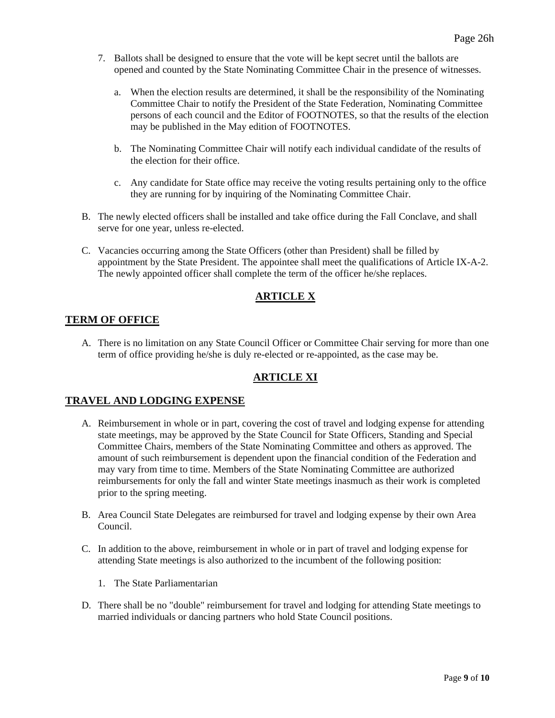- 7. Ballots shall be designed to ensure that the vote will be kept secret until the ballots are opened and counted by the State Nominating Committee Chair in the presence of witnesses.
	- a. When the election results are determined, it shall be the responsibility of the Nominating Committee Chair to notify the President of the State Federation, Nominating Committee persons of each council and the Editor of FOOTNOTES, so that the results of the election may be published in the May edition of FOOTNOTES.
	- b. The Nominating Committee Chair will notify each individual candidate of the results of the election for their office.
	- c. Any candidate for State office may receive the voting results pertaining only to the office they are running for by inquiring of the Nominating Committee Chair.
- B. The newly elected officers shall be installed and take office during the Fall Conclave, and shall serve for one year, unless re-elected.
- C. Vacancies occurring among the State Officers (other than President) shall be filled by appointment by the State President. The appointee shall meet the qualifications of Article IX-A-2. The newly appointed officer shall complete the term of the officer he/she replaces.

# **ARTICLE X**

# **TERM OF OFFICE**

A. There is no limitation on any State Council Officer or Committee Chair serving for more than one term of office providing he/she is duly re-elected or re-appointed, as the case may be.

# **ARTICLE XI**

### **TRAVEL AND LODGING EXPENSE**

- A. Reimbursement in whole or in part, covering the cost of travel and lodging expense for attending state meetings, may be approved by the State Council for State Officers, Standing and Special Committee Chairs, members of the State Nominating Committee and others as approved. The amount of such reimbursement is dependent upon the financial condition of the Federation and may vary from time to time. Members of the State Nominating Committee are authorized reimbursements for only the fall and winter State meetings inasmuch as their work is completed prior to the spring meeting.
- B. Area Council State Delegates are reimbursed for travel and lodging expense by their own Area Council.
- C. In addition to the above, reimbursement in whole or in part of travel and lodging expense for attending State meetings is also authorized to the incumbent of the following position:
	- 1. The State Parliamentarian
- D. There shall be no "double" reimbursement for travel and lodging for attending State meetings to married individuals or dancing partners who hold State Council positions.